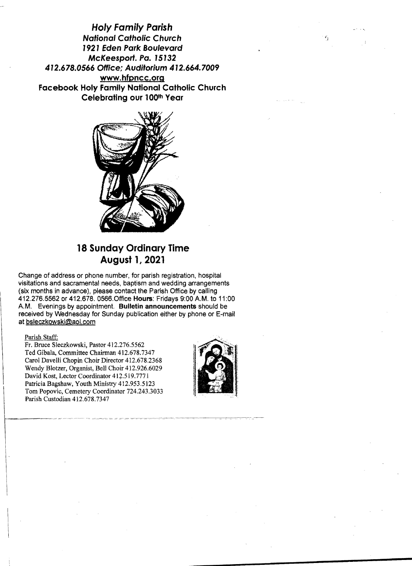**Holy Family Parish National Catholic Church 1921 Eden Park Boulevard McKeesport. Po. 15132 472.678.0566 Office; Auditorium 412.664.7009 www.hfpncc.org Facebook Holy Family National Catholic Church Celebrating our l00th Year** 



# **18 Sunday Ordinary Time August 1, 2021**

Change of address or phone number, for parish registration, hospital visitations and sacramental needs, baptism and wedding arrangements (six months in advance), please contact the Parish Office by calling 412.276.5562 or 412.678. 0566.0ffice **Hours:** Fridays 9:00 A.M. to 11:00 A.M. Evenings by appointment. **Bulletin announcements** should be received by Wednesday for Sunday publication either by phone or E-mail at bsleczkowski@ao!.com

#### Parish Staff:

Fr. Bruce Sleczkowski, Pastor 412.276.5562 Ted Gibala, Committee Chairman 412.678.7347 Carol Davelli Chopin Choir Director 412.678.2368 Wendy Blotzer, Organist, Bell Choir 412.926.6029 David Kost, Lector Coordinator 412.519.7771 Patricia Bagshaw, Youth Ministry 412.953.5123 Tom Popovic, Cemetery Coordinator 724.243.3033 Parish Custodian 412.678.7347

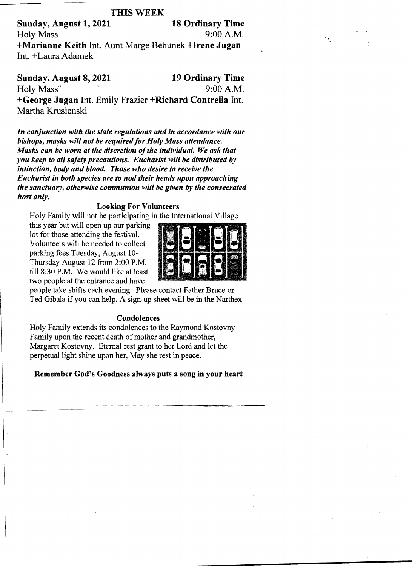# **THIS WEEK**

Sunday, August 1, 2021 18 Ordinary Time Holy Mass 9:00 A.M. +Marianne Keith lnt. Aunt Marge Behunek +Irene Jugan lnt. +Laura Adamek

Sunday, August 8, 2021 19 Ordinary Time Sunday, August 8, 2021<br>Holy Mass<sup>\*</sup> 9:00 A.M. +George Jugan lnt. Emily Frazier +Richard Contrella lnt. Martha Krusienski

*In conjunction with the state regulations and in accordance with our bishops, masks will not be required for Holy Mass attendance. Masks can be worn at the discretion of the individual. We ask that you keep to all safety precautions. Eucharist will be distributed by intinction, body and blood. Those who desire to receive the Eucharist in both species are to nod their heads upon approaching the sanctuary, otherwise communion will be given by the consecrated host only.* 

# Looking For Volunteers

Holy Family will not be participating in the International Village

this year but will open up our parking lot for those attending the festival. Volunteers will be needed to collect parking fees Tuesday, August 10 Thursday August 12 from 2:00 P.M. till 8:30 P.M. We would like at least two people at the entrance and have



people take shifts each evening. Please contact Father Bruce or Ted Gibala if you can help. A sign-up sheet will be in the Narthex

#### Condolences

Holy Family extends its condolences to the Raymond Kostovny Family upon the recent death of mother and grandmother, Margaret Kostovny. Eternal rest grant to her Lord and let the perpetual light shine upon her, May she rest in peace.

Remember God's Goodness always puts a song in your heart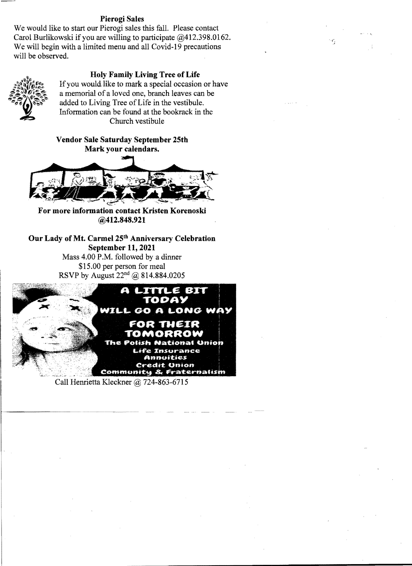### **Pierogi Sales**

We would like to start our Pierogi sales this fall. Please contact Carol Burlikowski if you are willing to participate @412.398.0162. We will begin with a limited menu and all Covid-19 precautions will be observed.

## **Holy Family Living Tree of Life**



If you would like to mark a special occasion or have a memorial of a loved one, branch leaves can be added to Living Tree of Life in the vestibule. Information can be found at the bookrack in the Church vestibule

**Vendor Sale Saturday September 25th Mark your calendars.** 



**For more information contact Kristen Korenoski @412.848.921** 

Our Lady of Mt. Carmel 25<sup>th</sup> Anniversary Celebration **September 11, 2021** Mass 4.00 P.M. followed by a dinner \$15.00 per person for meal



Call Henrietta Kleckner @ 724-863-6715